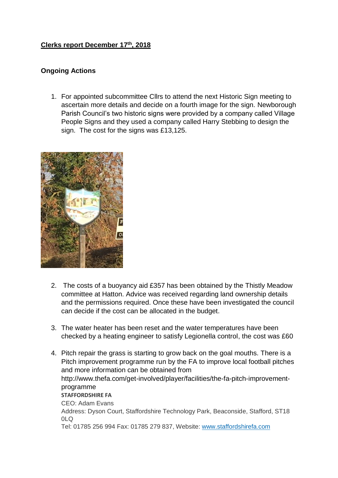## **Clerks report December 17th, 2018**

## **Ongoing Actions**

1. For appointed subcommittee Cllrs to attend the next Historic Sign meeting to ascertain more details and decide on a fourth image for the sign. Newborough Parish Council's two historic signs were provided by a company called Village People Signs and they used a company called Harry Stebbing to design the sign. The cost for the signs was £13,125.



- 2. The costs of a buoyancy aid £357 has been obtained by the Thistly Meadow committee at Hatton. Advice was received regarding land ownership details and the permissions required. Once these have been investigated the council can decide if the cost can be allocated in the budget.
- 3. The water heater has been reset and the water temperatures have been checked by a heating engineer to satisfy Legionella control, the cost was £60
- 4. Pitch repair the grass is starting to grow back on the goal mouths. There is a Pitch improvement programme run by the FA to improve local football pitches and more information can be obtained from http://www.thefa.com/get-involved/player/facilities/the-fa-pitch-improvementprogramme **STAFFORDSHIRE FA** CEO: Adam Evans Address: Dyson Court, Staffordshire Technology Park, Beaconside, Stafford, ST18 0LQ Tel: 01785 256 994 Fax: 01785 279 837, Website: [www.staffordshirefa.com](http://www.staffordshirefa.com/)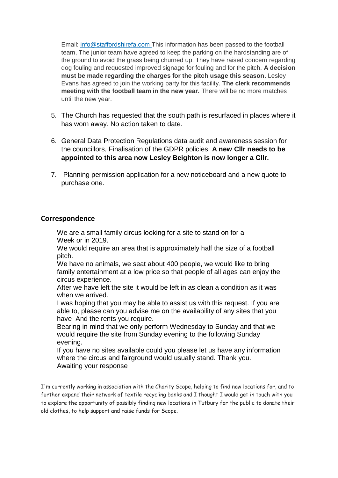Email: [info@staffordshirefa.com](mailto:info@staffordshirefa.com) This information has been passed to the football team, The junior team have agreed to keep the parking on the hardstanding are of the ground to avoid the grass being churned up. They have raised concern regarding dog fouling and requested improved signage for fouling and for the pitch. **A decision must be made regarding the charges for the pitch usage this season**. Lesley Evans has agreed to join the working party for this facility. **The clerk recommends meeting with the football team in the new year.** There will be no more matches until the new year.

- 5. The Church has requested that the south path is resurfaced in places where it has worn away. No action taken to date.
- 6. General Data Protection Regulations data audit and awareness session for the councillors, Finalisation of the GDPR policies. **A new Cllr needs to be appointed to this area now Lesley Beighton is now longer a Cllr.**
- 7. Planning permission application for a new noticeboard and a new quote to purchase one.

## **Correspondence**

We are a small family circus looking for a site to stand on for a Week or in 2019.

We would require an area that is approximately half the size of a football pitch.

We have no animals, we seat about 400 people, we would like to bring family entertainment at a low price so that people of all ages can enjoy the circus experience.

After we have left the site it would be left in as clean a condition as it was when we arrived.

I was hoping that you may be able to assist us with this request. If you are able to, please can you advise me on the availability of any sites that you have And the rents you require.

Bearing in mind that we only perform Wednesday to Sunday and that we would require the site from Sunday evening to the following Sunday evening.

If you have no sites available could you please let us have any information where the circus and fairground would usually stand. Thank you. Awaiting your response

I'm currently working in association with the Charity Scope, helping to find new locations for, and to further expand their network of textile recycling banks and I thought I would get in touch with you to explore the opportunity of possibly finding new locations in Tutbury for the public to donate their old clothes, to help support and raise funds for Scope.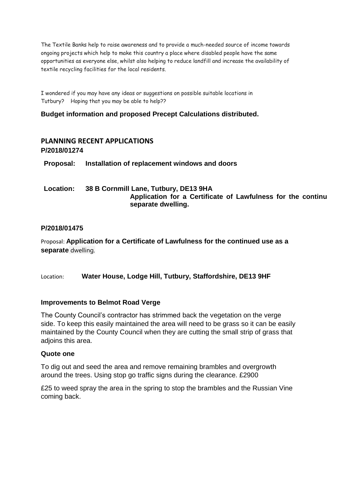The Textile Banks help to raise awareness and to provide a much-needed source of income towards ongoing projects which help to make this country a place where disabled people have the same opportunities as everyone else, whilst also helping to reduce landfill and increase the availability of textile recycling facilities for the local residents.

I wondered if you may have any ideas or suggestions on possible suitable locations in Tutbury? Hoping that you may be able to help??

### **Budget information and proposed Precept Calculations distributed.**

# **PLANNING RECENT APPLICATIONS P/2018/01274**

**Proposal: Installation of replacement windows and doors**

### **Location: 38 B Cornmill Lane, Tutbury, DE13 9HA** Application for a Certificate of Lawfulness for the continu **separate dwelling.**

### **P/2018/01475**

Proposal: **Application for a Certificate of Lawfulness for the continued use as a separate** dwelling.

Location: **Water House, Lodge Hill, Tutbury, Staffordshire, DE13 9HF**

### **Improvements to Belmot Road Verge**

The County Council's contractor has strimmed back the vegetation on the verge side. To keep this easily maintained the area will need to be grass so it can be easily maintained by the County Council when they are cutting the small strip of grass that adjoins this area.

#### **Quote one**

To dig out and seed the area and remove remaining brambles and overgrowth around the trees. Using stop go traffic signs during the clearance. £2900

£25 to weed spray the area in the spring to stop the brambles and the Russian Vine coming back.